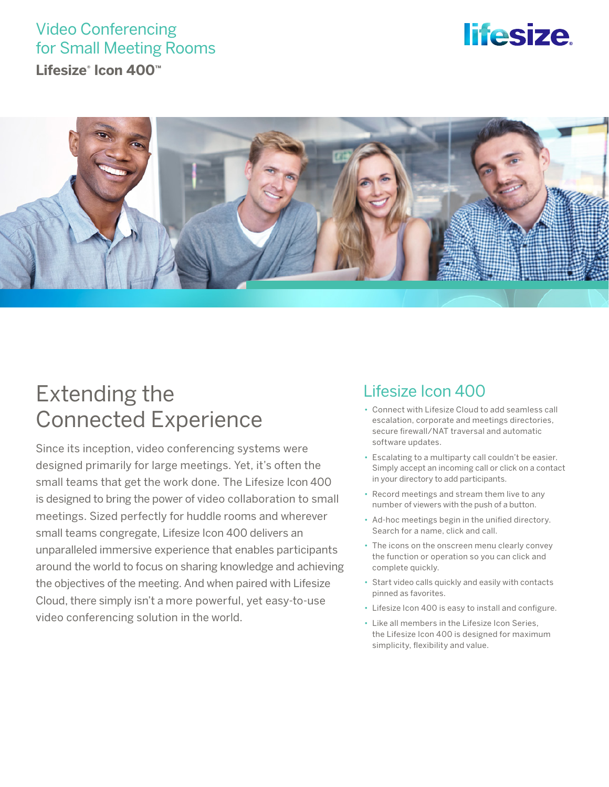### Video Conferencing for Small Meeting Rooms

**Lifesize® Icon 400™**

# *lifesize*



## Extending the Connected Experience

Since its inception, video conferencing systems were designed primarily for large meetings. Yet, it's often the small teams that get the work done. The Lifesize Icon 400 is designed to bring the power of video collaboration to small meetings. Sized perfectly for huddle rooms and wherever small teams congregate, Lifesize Icon 400 delivers an unparalleled immersive experience that enables participants around the world to focus on sharing knowledge and achieving the objectives of the meeting. And when paired with Lifesize Cloud, there simply isn't a more powerful, yet easy-to-use video conferencing solution in the world.

### Lifesize Icon 400

- Connect with Lifesize Cloud to add seamless call escalation, corporate and meetings directories, secure firewall/NAT traversal and automatic software updates.
- Escalating to a multiparty call couldn't be easier. Simply accept an incoming call or click on a contact in your directory to add participants.
- Record meetings and stream them live to any number of viewers with the push of a button.
- Ad-hoc meetings begin in the unified directory. Search for a name, click and call.
- The icons on the onscreen menu clearly convey the function or operation so you can click and complete quickly.
- Start video calls quickly and easily with contacts pinned as favorites.
- Lifesize Icon 400 is easy to install and configure.
- Like all members in the Lifesize Icon Series, the Lifesize Icon 400 is designed for maximum simplicity, flexibility and value.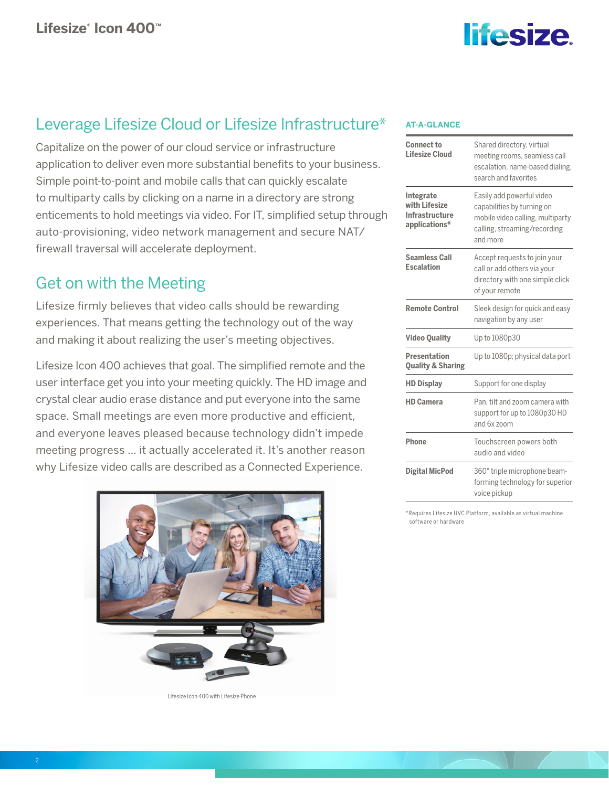

### Leverage Lifesize Cloud or Lifesize Infrastructure\*

Capitalize on the power of our cloud service or infrastructure application to deliver even more substantial benefits to your business. Simple point-to-point and mobile calls that can quickly escalate to multiparty calls by clicking on a name in a directory are strong enticements to hold meetings via video. For IT, simplified setup through auto-provisioning, video network management and secure NAT/ firewall traversal will accelerate deployment.

### Get on with the Meeting

Lifesize firmly believes that video calls should be rewarding experiences. That means getting the technology out of the way and making it about realizing the user's meeting objectives.

Lifesize Icon 400 achieves that goal. The simplified remote and the user interface get you into your meeting quickly. The HD image and crystal clear audio erase distance and put everyone into the same space. Small meetings are even more productive and efficient, and everyone leaves pleased because technology didn't impede meeting progress … it actually accelerated it. It's another reason why Lifesize video calls are described as a Connected Experience.



Lifesize Icon 400 with Lifesize Phone

#### **AT-A-GLANCE**

| <b>Connect to</b><br>Lifesize Cloud                           | Shared directory, virtual<br>meeting rooms, seamless call<br>escalation, name-based dialing,<br>search and favorites                    |
|---------------------------------------------------------------|-----------------------------------------------------------------------------------------------------------------------------------------|
| Integrate<br>with Lifesize<br>Infrastructure<br>applications* | Easily add powerful video<br>capabilities by turning on<br>mobile video calling, multiparty<br>calling, streaming/recording<br>and more |
| <b>Seamless Call</b><br><b>Escalation</b>                     | Accept requests to join your<br>call or add others via your<br>directory with one simple click<br>of your remote                        |
| <b>Remote Control</b>                                         | Sleek design for quick and easy<br>navigation by any user                                                                               |
| <b>Video Quality</b>                                          | Up to 1080p30                                                                                                                           |
| <b>Presentation</b><br><b>Quality &amp; Sharing</b>           | Up to 1080p; physical data port                                                                                                         |
| <b>HD Display</b>                                             | Support for one display                                                                                                                 |
| <b>HD Camera</b>                                              | Pan, tilt and zoom camera with<br>support for up to 1080p30 HD<br>and 6x zoom                                                           |
| Phone                                                         | Touchscreen powers both<br>audio and video                                                                                              |
| <b>Digital MicPod</b>                                         | 360° triple microphone beam-<br>forming technology for superior<br>voice pickup                                                         |

\*Requires Lifesize UVC Platform, available as virtual machine software or hardware